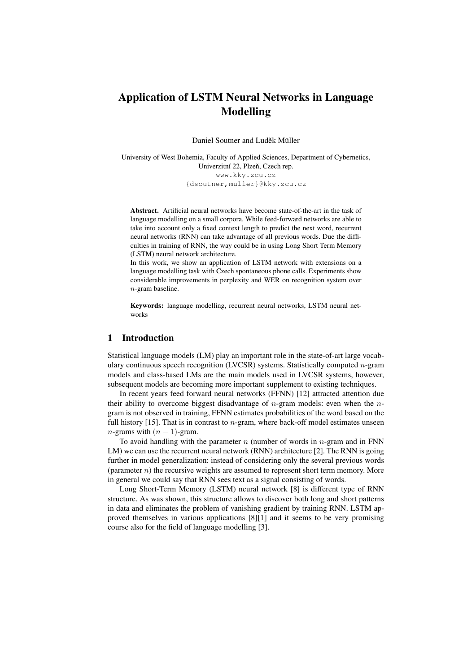# Application of LSTM Neural Networks in Language Modelling

Daniel Soutner and Luděk Müller

University of West Bohemia, Faculty of Applied Sciences, Department of Cybernetics, Univerzitní 22, Plzeň, Czech rep. www.kky.zcu.cz {dsoutner,muller}@kky.zcu.cz

Abstract. Artificial neural networks have become state-of-the-art in the task of language modelling on a small corpora. While feed-forward networks are able to take into account only a fixed context length to predict the next word, recurrent neural networks (RNN) can take advantage of all previous words. Due the difficulties in training of RNN, the way could be in using Long Short Term Memory (LSTM) neural network architecture.

In this work, we show an application of LSTM network with extensions on a language modelling task with Czech spontaneous phone calls. Experiments show considerable improvements in perplexity and WER on recognition system over n-gram baseline.

Keywords: language modelling, recurrent neural networks, LSTM neural networks

## 1 Introduction

Statistical language models (LM) play an important role in the state-of-art large vocabulary continuous speech recognition (LVCSR) systems. Statistically computed n-gram models and class-based LMs are the main models used in LVCSR systems, however, subsequent models are becoming more important supplement to existing techniques.

In recent years feed forward neural networks (FFNN) [12] attracted attention due their ability to overcome biggest disadvantage of  $n$ -gram models: even when the  $n$ gram is not observed in training, FFNN estimates probabilities of the word based on the full history  $[15]$ . That is in contrast to *n*-gram, where back-off model estimates unseen n-grams with  $(n - 1)$ -gram.

To avoid handling with the parameter n (number of words in  $n$ -gram and in FNN LM) we can use the recurrent neural network (RNN) architecture [2]. The RNN is going further in model generalization: instead of considering only the several previous words (parameter  $n$ ) the recursive weights are assumed to represent short term memory. More in general we could say that RNN sees text as a signal consisting of words.

Long Short-Term Memory (LSTM) neural network [8] is different type of RNN structure. As was shown, this structure allows to discover both long and short patterns in data and eliminates the problem of vanishing gradient by training RNN. LSTM approved themselves in various applications [8][1] and it seems to be very promising course also for the field of language modelling [3].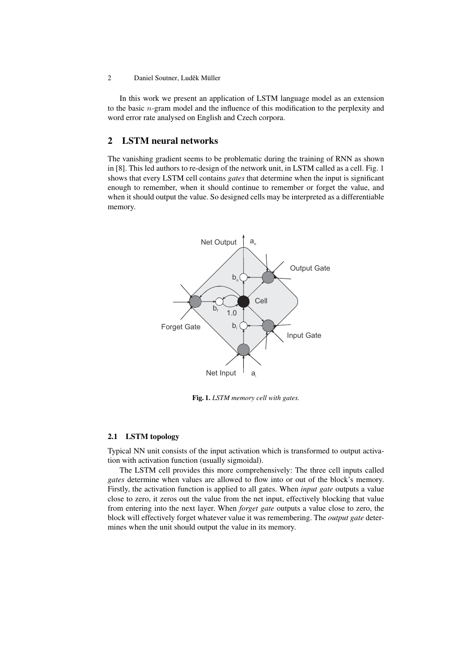#### 2 Daniel Soutner, Luděk Müller

In this work we present an application of LSTM language model as an extension to the basic n-gram model and the influence of this modification to the perplexity and word error rate analysed on English and Czech corpora.

## 2 LSTM neural networks

The vanishing gradient seems to be problematic during the training of RNN as shown in [8]. This led authors to re-design of the network unit, in LSTM called as a cell. Fig. 1 shows that every LSTM cell contains *gates* that determine when the input is significant enough to remember, when it should continue to remember or forget the value, and when it should output the value. So designed cells may be interpreted as a differentiable memory.



Fig. 1. *LSTM memory cell with gates.*

#### 2.1 LSTM topology

Typical NN unit consists of the input activation which is transformed to output activation with activation function (usually sigmoidal).

The LSTM cell provides this more comprehensively: The three cell inputs called *gates* determine when values are allowed to flow into or out of the block's memory. Firstly, the activation function is applied to all gates. When *input gate* outputs a value close to zero, it zeros out the value from the net input, effectively blocking that value from entering into the next layer. When *forget gate* outputs a value close to zero, the block will effectively forget whatever value it was remembering. The *output gate* determines when the unit should output the value in its memory.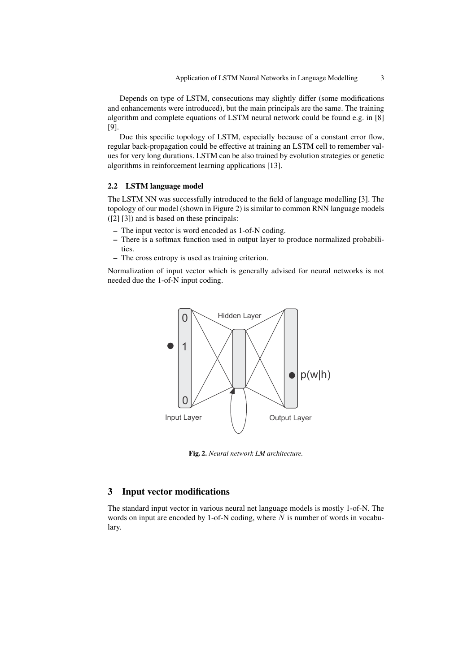Depends on type of LSTM, consecutions may slightly differ (some modifications and enhancements were introduced), but the main principals are the same. The training algorithm and complete equations of LSTM neural network could be found e.g. in [8] [9].

Due this specific topology of LSTM, especially because of a constant error flow, regular back-propagation could be effective at training an LSTM cell to remember values for very long durations. LSTM can be also trained by evolution strategies or genetic algorithms in reinforcement learning applications [13].

#### 2.2 LSTM language model

The LSTM NN was successfully introduced to the field of language modelling [3]. The topology of our model (shown in Figure 2) is similar to common RNN language models ([2] [3]) and is based on these principals:

- The input vector is word encoded as 1-of-N coding.
- There is a softmax function used in output layer to produce normalized probabilities.
- The cross entropy is used as training criterion.

Normalization of input vector which is generally advised for neural networks is not needed due the 1-of-N input coding.



Fig. 2. *Neural network LM architecture.*

# 3 Input vector modifications

The standard input vector in various neural net language models is mostly 1-of-N. The words on input are encoded by 1-of-N coding, where  $N$  is number of words in vocabulary.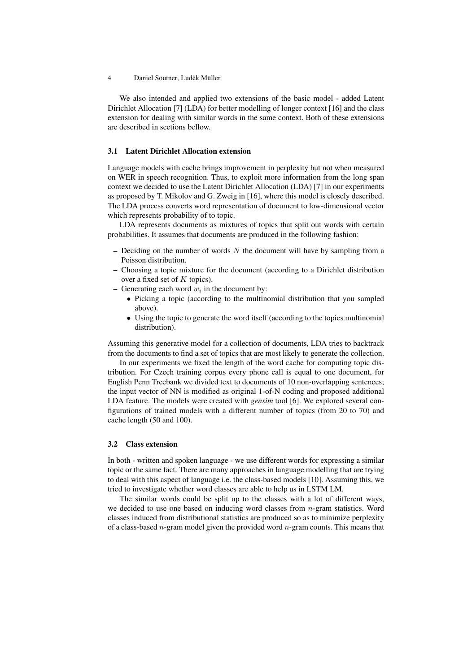We also intended and applied two extensions of the basic model - added Latent Dirichlet Allocation [7] (LDA) for better modelling of longer context [16] and the class extension for dealing with similar words in the same context. Both of these extensions are described in sections bellow.

#### 3.1 Latent Dirichlet Allocation extension

Language models with cache brings improvement in perplexity but not when measured on WER in speech recognition. Thus, to exploit more information from the long span context we decided to use the Latent Dirichlet Allocation (LDA) [7] in our experiments as proposed by T. Mikolov and G. Zweig in [16], where this model is closely described. The LDA process converts word representation of document to low-dimensional vector which represents probability of to topic.

LDA represents documents as mixtures of topics that split out words with certain probabilities. It assumes that documents are produced in the following fashion:

- $-$  Deciding on the number of words N the document will have by sampling from a Poisson distribution.
- Choosing a topic mixture for the document (according to a Dirichlet distribution over a fixed set of K topics).
- Generating each word  $w_i$  in the document by:
	- Picking a topic (according to the multinomial distribution that you sampled above).
	- Using the topic to generate the word itself (according to the topics multinomial distribution).

Assuming this generative model for a collection of documents, LDA tries to backtrack from the documents to find a set of topics that are most likely to generate the collection.

In our experiments we fixed the length of the word cache for computing topic distribution. For Czech training corpus every phone call is equal to one document, for English Penn Treebank we divided text to documents of 10 non-overlapping sentences; the input vector of NN is modified as original 1-of-N coding and proposed additional LDA feature. The models were created with *gensim* tool [6]. We explored several configurations of trained models with a different number of topics (from 20 to 70) and cache length (50 and 100).

#### 3.2 Class extension

In both - written and spoken language - we use different words for expressing a similar topic or the same fact. There are many approaches in language modelling that are trying to deal with this aspect of language i.e. the class-based models [10]. Assuming this, we tried to investigate whether word classes are able to help us in LSTM LM.

The similar words could be split up to the classes with a lot of different ways, we decided to use one based on inducing word classes from n-gram statistics. Word classes induced from distributional statistics are produced so as to minimize perplexity of a class-based  $n$ -gram model given the provided word  $n$ -gram counts. This means that

<sup>4</sup> Daniel Soutner, Luděk Müller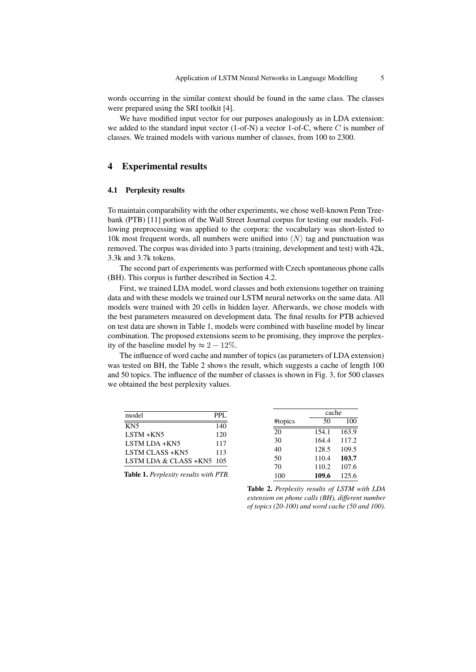words occurring in the similar context should be found in the same class. The classes were prepared using the SRI toolkit [4].

We have modified input vector for our purposes analogously as in LDA extension: we added to the standard input vector  $(1-of-N)$  a vector 1-of-C, where C is number of classes. We trained models with various number of classes, from 100 to 2300.

## 4 Experimental results

#### 4.1 Perplexity results

To maintain comparability with the other experiments, we chose well-known Penn Treebank (PTB) [11] portion of the Wall Street Journal corpus for testing our models. Following preprocessing was applied to the corpora: the vocabulary was short-listed to 10k most frequent words, all numbers were unified into  $\langle N \rangle$  tag and punctuation was removed. The corpus was divided into 3 parts (training, development and test) with 42k, 3.3k and 3.7k tokens.

The second part of experiments was performed with Czech spontaneous phone calls (BH). This corpus is further described in Section 4.2.

First, we trained LDA model, word classes and both extensions together on training data and with these models we trained our LSTM neural networks on the same data. All models were trained with 20 cells in hidden layer. Afterwards, we chose models with the best parameters measured on development data. The final results for PTB achieved on test data are shown in Table 1, models were combined with baseline model by linear combination. The proposed extensions seem to be promising, they improve the perplexity of the baseline model by  $\approx 2 - 12\%$ .

The influence of word cache and number of topics (as parameters of LDA extension) was tested on BH, the Table 2 shows the result, which suggests a cache of length 100 and 50 topics. The influence of the number of classes is shown in Fig. 3, for 500 classes we obtained the best perplexity values.

| model                       | PPL. |
|-----------------------------|------|
| KN <sub>5</sub>             | 140  |
| $LSTM + KN5$                | 120  |
| LSTM LDA +KN5               | 117  |
| LSTM CLASS +KN5             | 113  |
| LSTM LDA & CLASS $+KN5$ 105 |      |

Table 1. *Perplexity results with PTB.*

|         |       | cache |  |
|---------|-------|-------|--|
| #topics | 50    | 100   |  |
| 20      | 154.1 | 163.9 |  |
| 30      | 164.4 | 117.2 |  |
| 40      | 128.5 | 109.5 |  |
| 50      | 110.4 | 103.7 |  |
| 70      | 110.2 | 107.6 |  |
| 100     | 109.6 | 125.6 |  |

Table 2. *Perplexity results of LSTM with LDA extension on phone calls (BH), different number of topics (20-100) and word cache (50 and 100).*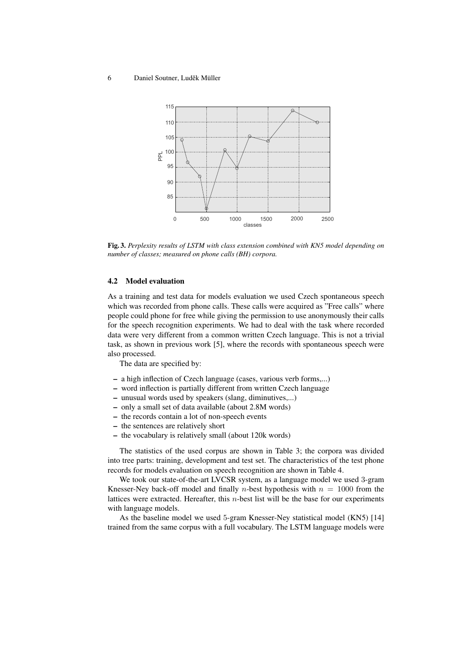#### 6 Daniel Soutner, Luděk Müller



Fig. 3. *Perplexity results of LSTM with class extension combined with KN5 model depending on number of classes; measured on phone calls (BH) corpora.*

#### 4.2 Model evaluation

As a training and test data for models evaluation we used Czech spontaneous speech which was recorded from phone calls. These calls were acquired as "Free calls" where people could phone for free while giving the permission to use anonymously their calls for the speech recognition experiments. We had to deal with the task where recorded data were very different from a common written Czech language. This is not a trivial task, as shown in previous work [5], where the records with spontaneous speech were also processed.

The data are specified by:

- a high inflection of Czech language (cases, various verb forms,...)
- word inflection is partially different from written Czech language
- unusual words used by speakers (slang, diminutives,...)
- only a small set of data available (about 2.8M words)
- the records contain a lot of non-speech events
- the sentences are relatively short
- the vocabulary is relatively small (about 120k words)

The statistics of the used corpus are shown in Table 3; the corpora was divided into tree parts: training, development and test set. The characteristics of the test phone records for models evaluation on speech recognition are shown in Table 4.

We took our state-of-the-art LVCSR system, as a language model we used 3-gram Knesser-Ney back-off model and finally *n*-best hypothesis with  $n = 1000$  from the lattices were extracted. Hereafter, this  $n$ -best list will be the base for our experiments with language models.

As the baseline model we used 5-gram Knesser-Ney statistical model (KN5) [14] trained from the same corpus with a full vocabulary. The LSTM language models were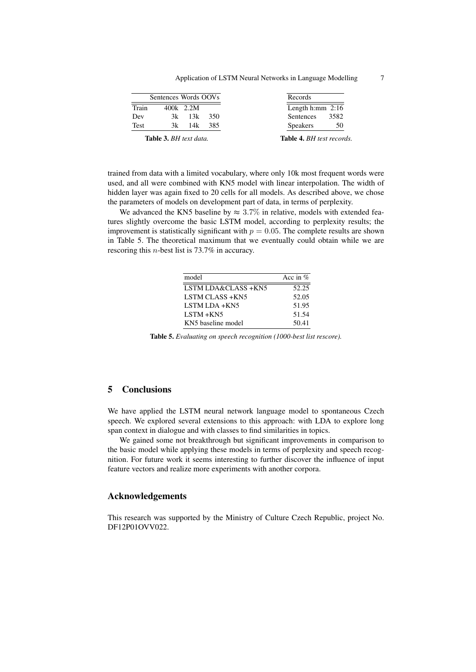| Records                          |
|----------------------------------|
| Length h:mm $2:16$               |
| 3582<br><b>Sentences</b>         |
| <b>Speakers</b><br>-50           |
| <b>Table 4.</b> BH test records. |

trained from data with a limited vocabulary, where only 10k most frequent words were used, and all were combined with KN5 model with linear interpolation. The width of hidden layer was again fixed to 20 cells for all models. As described above, we chose the parameters of models on development part of data, in terms of perplexity.

We advanced the KN5 baseline by  $\approx 3.7\%$  in relative, models with extended features slightly overcome the basic LSTM model, according to perplexity results; the improvement is statistically significant with  $p = 0.05$ . The complete results are shown in Table 5. The theoretical maximum that we eventually could obtain while we are rescoring this n-best list is 73.7% in accuracy.

| model               | Acc in $%$ |
|---------------------|------------|
| LSTM LDA&CLASS +KN5 | 52.25      |
| LSTM CLASS +KN5     | 52.05      |
| LSTM LDA +KN5       | 51.95      |
| $LSTM + KN5$        | 51.54      |
| KN5 baseline model  | 50.41      |

Table 5. *Evaluating on speech recognition (1000-best list rescore).*

# 5 Conclusions

We have applied the LSTM neural network language model to spontaneous Czech speech. We explored several extensions to this approach: with LDA to explore long span context in dialogue and with classes to find similarities in topics.

We gained some not breakthrough but significant improvements in comparison to the basic model while applying these models in terms of perplexity and speech recognition. For future work it seems interesting to further discover the influence of input feature vectors and realize more experiments with another corpora.

## Acknowledgements

This research was supported by the Ministry of Culture Czech Republic, project No. DF12P01OVV022.